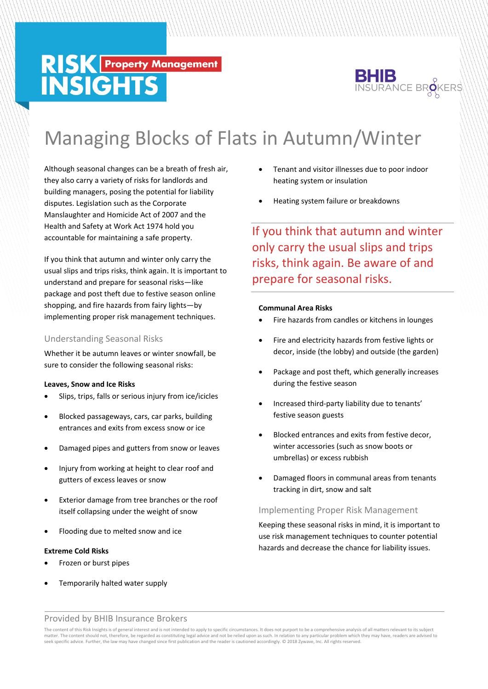# **RISK Property Management**<br>INSIGHTS



# Managing Blocks of Flats in Autumn/Winter

Although seasonal changes can be a breath of fresh air, they also carry a variety of risks for landlords and building managers, posing the potential for liability disputes. Legislation such as the Corporate Manslaughter and Homicide Act of 2007 and the Health and Safety at Work Act 1974 hold you accountable for maintaining a safe property.

If you think that autumn and winter only carry the usual slips and trips risks, think again. It is important to understand and prepare for seasonal risks—like package and post theft due to festive season online shopping, and fire hazards from fairy lights—by implementing proper risk management techniques.

# Understanding Seasonal Risks

Whether it be autumn leaves or winter snowfall, be sure to consider the following seasonal risks:

#### **Leaves, Snow and Ice Risks**

- Slips, trips, falls or serious injury from ice/icicles
- Blocked passageways, cars, car parks, building entrances and exits from excess snow or ice
- Damaged pipes and gutters from snow or leaves
- Injury from working at height to clear roof and gutters of excess leaves or snow
- Exterior damage from tree branches or the roof itself collapsing under the weight of snow
- Flooding due to melted snow and ice

#### **Extreme Cold Risks**

- Frozen or burst pipes
- Temporarily halted water supply
- Tenant and visitor illnesses due to poor indoor heating system or insulation
- Heating system failure or breakdowns

If you think that autumn and winter only carry the usual slips and trips risks, think again. Be aware of and prepare for seasonal risks.

# **Communal Area Risks**

- Fire hazards from candles or kitchens in lounges
- Fire and electricity hazards from festive lights or decor, inside (the lobby) and outside (the garden)
- Package and post theft, which generally increases during the festive season
- Increased third-party liability due to tenants' festive season guests
- Blocked entrances and exits from festive decor, winter accessories (such as snow boots or umbrellas) or excess rubbish
- Damaged floors in communal areas from tenants tracking in dirt, snow and salt

# Implementing Proper Risk Management

Keeping these seasonal risks in mind, it is important to use risk management techniques to counter potential hazards and decrease the chance for liability issues.

# Provided by BHIB Insurance Brokers

The content of this Risk Insights is of general interest and is not intended to apply to specific circumstances. It does not purport to be a comprehensive analysis of all matters relevant to its subject matter. The content should not, therefore, be regarded as constituting legal advice and not be relied upon as such. In relation to any particular problem which they may have, readers are advised to any the experiment of th seek specific advice. Further, the law may have changed since first publication and the reader is cautioned accordingly. © 2018 Zywave, Inc. All rights reserved